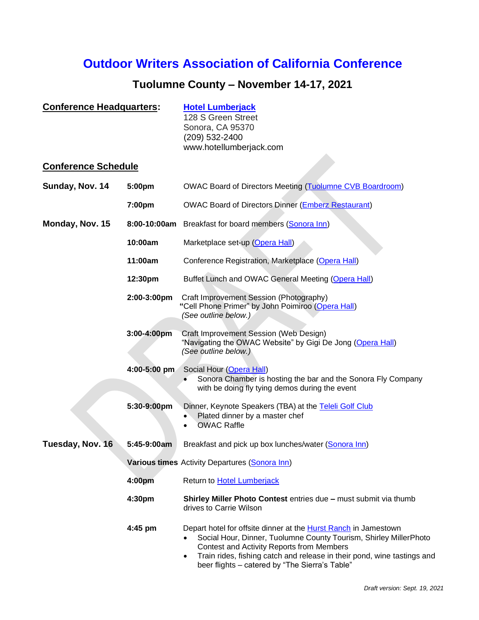# **Outdoor Writers Association of California Conference**

# **Tuolumne County – November 14-17, 2021**

| <b>Conference Headquarters:</b><br><b>Conference Schedule</b> |                                                | <b>Hotel Lumberjack</b><br>128 S Green Street<br>Sonora, CA 95370<br>(209) 532-2400<br>www.hotellumberjack.com                                                                                                                                                                                                                     |  |
|---------------------------------------------------------------|------------------------------------------------|------------------------------------------------------------------------------------------------------------------------------------------------------------------------------------------------------------------------------------------------------------------------------------------------------------------------------------|--|
|                                                               |                                                |                                                                                                                                                                                                                                                                                                                                    |  |
| Sunday, Nov. 14                                               | 5:00pm                                         | <b>OWAC Board of Directors Meeting (Tuolumne CVB Boardroom)</b>                                                                                                                                                                                                                                                                    |  |
|                                                               | 7:00pm                                         | <b>OWAC Board of Directors Dinner (Emberz Restaurant)</b>                                                                                                                                                                                                                                                                          |  |
| Monday, Nov. 15                                               |                                                | 8:00-10:00am Breakfast for board members (Sonora Inn)                                                                                                                                                                                                                                                                              |  |
|                                                               | 10:00am                                        | Marketplace set-up (Opera Hall)                                                                                                                                                                                                                                                                                                    |  |
|                                                               | 11:00am                                        | Conference Registration, Marketplace (Opera Hall)                                                                                                                                                                                                                                                                                  |  |
|                                                               | 12:30pm                                        | Buffet Lunch and OWAC General Meeting (Opera Hall)                                                                                                                                                                                                                                                                                 |  |
|                                                               | 2:00-3:00pm                                    | Craft Improvement Session (Photography)<br>"Cell Phone Primer" by John Poimiroo (Opera Hall)<br>(See outline below.)                                                                                                                                                                                                               |  |
|                                                               | 3:00-4:00pm                                    | Craft Improvement Session (Web Design)<br>"Navigating the OWAC Website" by Gigi De Jong (Opera Hall)<br>(See outline below.)                                                                                                                                                                                                       |  |
|                                                               | 4:00-5:00 pm                                   | Social Hour (Opera Hall)<br>Sonora Chamber is hosting the bar and the Sonora Fly Company<br>with be doing fly tying demos during the event                                                                                                                                                                                         |  |
|                                                               | 5:30-9:00pm                                    | Dinner, Keynote Speakers (TBA) at the Teleli Golf Club<br>Plated dinner by a master chef<br><b>OWAC Raffle</b>                                                                                                                                                                                                                     |  |
| Tuesday, Nov. 16                                              | 5:45-9:00am                                    | Breakfast and pick up box lunches/water (Sonora Inn)                                                                                                                                                                                                                                                                               |  |
|                                                               | Various times Activity Departures (Sonora Inn) |                                                                                                                                                                                                                                                                                                                                    |  |
|                                                               | 4:00pm                                         | Return to <b>Hotel Lumberjack</b>                                                                                                                                                                                                                                                                                                  |  |
|                                                               | 4:30pm                                         | Shirley Miller Photo Contest entries due - must submit via thumb<br>drives to Carrie Wilson                                                                                                                                                                                                                                        |  |
|                                                               | $4:45$ pm                                      | Depart hotel for offsite dinner at the <b>Hurst Ranch</b> in Jamestown<br>Social Hour, Dinner, Tuolumne County Tourism, Shirley MillerPhoto<br>Contest and Activity Reports from Members<br>Train rides, fishing catch and release in their pond, wine tastings and<br>$\bullet$<br>beer flights - catered by "The Sierra's Table" |  |